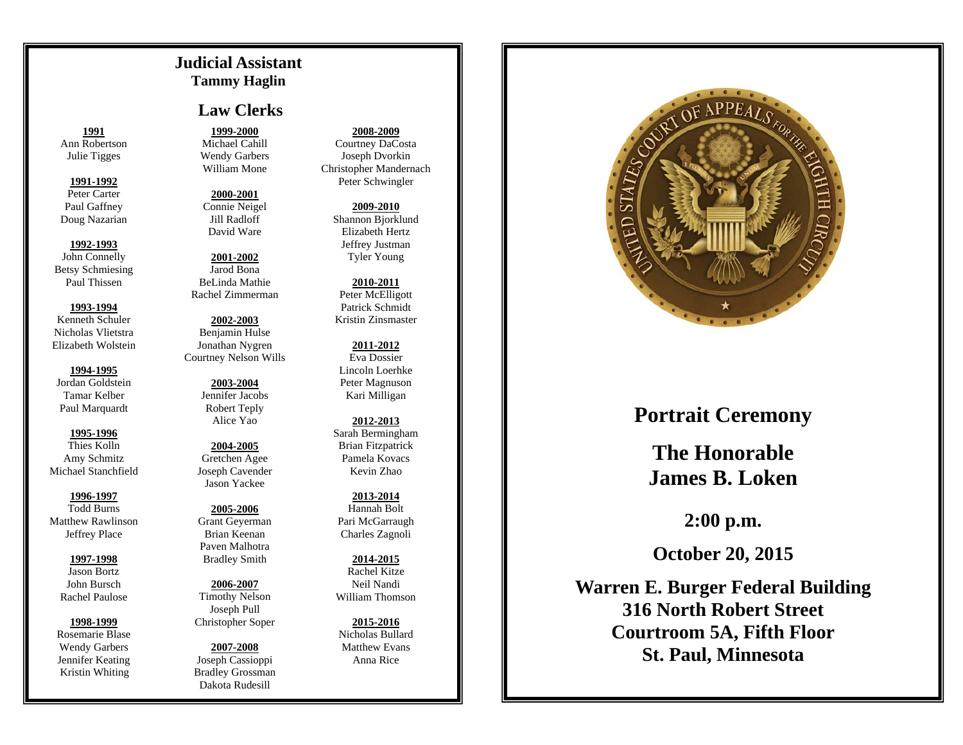## **Judicial Assistant Tammy Haglin**

# **Law Clerks**

**1991**Ann Robertson Julie Tigges

### **1991-1992**

Peter Carter Paul Gaffney Doug Nazarian

## **1992-1993**

John Connelly Betsy Schmiesing Paul Thissen

## **1993-1994**

Kenneth Schuler Nicholas Vlietstra Elizabeth Wolstein

## **1994-1995**Jordan Goldstein Tamar Kelber Paul Marquardt

**1995-1996**Thies Kolln Amy Schmitz Michael Stanchfield

## **1996-1997**

Todd Burns Matthew Rawlinson Jeffrey Place

## **1997-1998** Jason Bortz

John Bursch Rachel Paulose

## **1998-1999**

Rosemarie Blase Wendy Garbers Jennifer Keating Kristin Whiting

# **1999-2000**

Michael Cahill Wendy Garbers William Mone

**2000-2001**Connie Neigel Jill Radloff David Ware

**2001-2002**Jarod Bona BeLinda Mathie Rachel Zimmerman

**2002-2003**Benjamin Hulse Jonathan Nygren Courtney Nelson Wills

> **2003-2004** Jennifer Jacobs Robert Teply Alice Yao

**2004-2005**Gretchen Agee Joseph Cavender Jason Yackee

## **2005-2006**Grant Geyerman Brian Keenan Paven Malhotra Bradley Smith

**2006-2007** Timothy Nelson Joseph Pull Christopher Soper

#### **2007-2008** Joseph Cassioppi Bradley Grossman Dakota Rudesill

### **2008-2009**

Courtney DaCosta Joseph Dvorkin Christopher Mandernach Peter Schwingler

> **2009-2010** Shannon Bjorklund Elizabeth Hertz Jeffrey Justman Tyler Young

**2010-2011**Peter McElligott Patrick Schmidt Kristin Zinsmaster

**2011-2012**Eva Dossier Lincoln Loerhke Peter Magnuson Kari Milligan

**2012-2013**Sarah Bermingham Brian Fitzpatrick Pamela Kovacs Kevin Zhao

**2013-2014**Hannah Bolt Pari McGarraugh Charles Zagnoli

**2014-2015** Rachel Kitze Neil Nandi William Thomson

**2015-2016**Nicholas Bullard Matthew Evans Anna Rice



# **Portrait Ceremony**

**The Honorable James B. Loken** 

**2:00 p.m.** 

**October 20, 2015** 

**Warren E. Burger Federal Building 316 North Robert Street Courtroom 5A, Fifth Floor St. Paul, Minnesota**